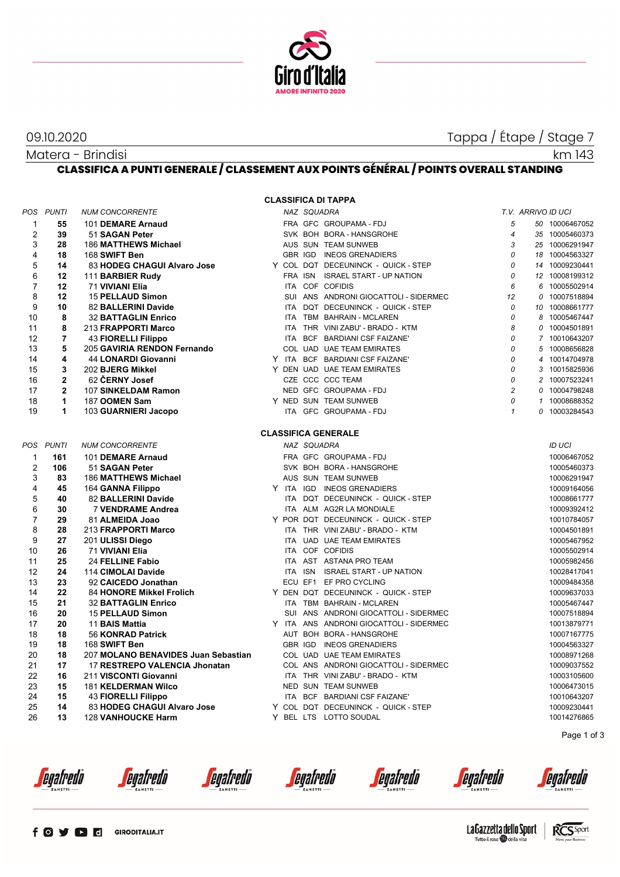

09.10.2020 Tappa / Étape / Stage 7

km 143

Matera - Brindisi **CLASSIFICA A PUNTI GENERALE / CLASSEMENT AUX POINTS GÉNÉRAL / POINTS OVERALL STANDING**

**CLASSIFICA DI TAPPA**

|                |                |                                     |  |             | ULAJJIFIUM DI TAFFM                     |                |                    |                |
|----------------|----------------|-------------------------------------|--|-------------|-----------------------------------------|----------------|--------------------|----------------|
|                | POS PUNTI      | <b>NUM CONCORRENTE</b>              |  | NAZ SQUADRA |                                         |                | T.V. ARRIVO ID UCI |                |
| $\mathbf{1}$   | 55             | 101 DEMARE Arnaud                   |  |             | FRA GFC GROUPAMA-FDJ                    | 5              |                    | 50 10006467052 |
| 2              | 39             | 51 SAGAN Peter                      |  |             | SVK BOH BORA - HANSGROHE                | $\overline{4}$ |                    | 35 10005460373 |
| 3              | 28             | 186 MATTHEWS Michael                |  |             | AUS SUN TEAM SUNWEB                     | 3              |                    | 25 10006291947 |
| $\overline{4}$ | 18             | 168 SWIFT Ben                       |  |             | GBR IGD INEOS GRENADIERS                | 0              |                    | 18 10004563327 |
| 5              | 14             | 83 HODEG CHAGUI Alvaro Jose         |  |             | Y COL DQT DECEUNINCK - QUICK - STEP     | 0              |                    | 14 10009230441 |
| 6              | 12             | 111 BARBIER Rudy                    |  |             | FRA ISN ISRAEL START - UP NATION        | 0              |                    | 12 10008199312 |
| 7              | 12             | 71 VIVIANI Elia                     |  |             | ITA COF COFIDIS                         | 6              | 6                  | 10005502914    |
| 8              | 12             | <b>15 PELLAUD Simon</b>             |  |             | SUI ANS ANDRONI GIOCATTOLI - SIDERMEC   | 12             |                    | 0 10007518894  |
| 9              | 10             | 82 BALLERINI Davide                 |  |             | ITA DQT DECEUNINCK - QUICK - STEP       | 0              |                    | 10 10008661777 |
| 10             | 8              | <b>32 BATTAGLIN Enrico</b>          |  |             | ITA TBM BAHRAIN - MCLAREN               | $\mathcal{O}$  |                    | 8 10005467447  |
| 11             | 8              | 213 FRAPPORTI Marco                 |  |             | ITA THR VINI ZABU' - BRADO - KTM        | 8              |                    | 0 10004501891  |
| 12             | $\overline{7}$ | <b>43 FIORELLI Filippo</b>          |  |             | ITA BCF BARDIANI CSF FAIZANE'           | $\mathcal{O}$  |                    | 7 10010643207  |
| 13             | 5              | 205 GAVIRIA RENDON Fernando         |  |             | COL UAD UAE TEAM EMIRATES               | 0              | 5                  | 10008656828    |
| 14             | 4              | 44 LONARDI Giovanni                 |  |             | Y ITA BCF BARDIANI CSF FAIZANE'         | 0              | 4                  | 10014704978    |
| 15             | 3              | 202 BJERG Mikkel                    |  |             | Y DEN UAD UAE TEAM EMIRATES             | 0              |                    | 3 10015825936  |
| 16             | $\overline{2}$ | 62 CERNY Josef                      |  |             | CZE CCC CCC TEAM                        | 0              |                    | 2 10007523241  |
| 17             | $\mathbf{2}$   | 107 SINKELDAM Ramon                 |  |             | NED GFC GROUPAMA - FDJ                  | $\overline{c}$ |                    | 0 10004798248  |
| 18             | 1              | 187 OOMEN Sam                       |  |             | Y NED SUN TEAM SUNWEB                   | 0              |                    | 1 10008688352  |
| 19             | $\mathbf{1}$   | 103 GUARNIERI Jacopo                |  |             | ITA GFC GROUPAMA - FDJ                  | $\mathbf{1}$   |                    | 0 10003284543  |
|                |                |                                     |  |             | <b>CLASSIFICA GENERALE</b>              |                |                    |                |
|                | POS PUNTI      | <b>NUM CONCORRENTE</b>              |  | NAZ SQUADRA |                                         |                |                    | <b>ID UCI</b>  |
| $\mathbf{1}$   | 161            | 101 DEMARE Arnaud                   |  |             | FRA GFC GROUPAMA - FDJ                  |                |                    | 10006467052    |
| $\overline{2}$ | 106            | 51 SAGAN Peter                      |  |             | SVK BOH BORA - HANSGROHE                |                |                    | 10005460373    |
| 3              | 83             | 186 MATTHEWS Michael                |  |             | AUS SUN TEAM SUNWEB                     |                |                    | 10006291947    |
| 4              | 45             | 164 GANNA Filippo                   |  |             | Y ITA IGD INEOS GRENADIERS              |                |                    | 10009164056    |
| 5              | 40             | 82 BALLERINI Davide                 |  |             | ITA DQT DECEUNINCK - QUICK - STEP       |                |                    | 10008661777    |
| 6              | 30             | 7 VENDRAME Andrea                   |  |             | ITA ALM AG2R LA MONDIALE                |                |                    | 10009392412    |
| $\overline{7}$ | 29             | 81 ALMEIDA Joao                     |  |             | Y POR DQT DECEUNINCK - QUICK - STEP     |                |                    | 10010784057    |
| 8              | 28             | 213 FRAPPORTI Marco                 |  |             | ITA THR VINI ZABU' - BRADO - KTM        |                |                    | 10004501891    |
| 9              | 27             | 201 ULISSI Diego                    |  |             | ITA UAD UAE TEAM EMIRATES               |                |                    | 10005467952    |
| 10             | 26             | 71 VIVIANI Elia                     |  |             | ITA COF COFIDIS                         |                |                    | 10005502914    |
| 11             | 25             | 24 FELLINE Fabio                    |  |             | ITA AST ASTANA PRO TEAM                 |                |                    | 10005982456    |
| 12             | 24             | 114 CIMOLAI Davide                  |  |             | ITA ISN ISRAEL START - UP NATION        |                |                    | 10028417041    |
| 13             | 23             | 92 CAICEDO Jonathan                 |  |             | ECU EF1 EF PRO CYCLING                  |                |                    | 10009484358    |
| 14             | 22             | <b>84 HONORE Mikkel Frolich</b>     |  |             | Y DEN DQT DECEUNINCK - QUICK - STEP     |                |                    | 10009637033    |
| 15             | 21             | <b>32 BATTAGLIN Enrico</b>          |  |             | ITA TBM BAHRAIN - MCLAREN               |                |                    | 10005467447    |
| 16             | 20             | <b>15 PELLAUD Simon</b>             |  |             | SUI ANS ANDRONI GIOCATTOLI - SIDERMEC   |                |                    | 10007518894    |
| 17             | 20             | 11 BAIS Mattia                      |  |             | Y ITA ANS ANDRONI GIOCATTOLI - SIDERMEC |                |                    | 10013879771    |
| 18             | 18             | 56 KONRAD Patrick                   |  |             | AUT BOH BORA - HANSGROHE                |                |                    | 10007167775    |
| 19             | 18             | 168 SWIFT Ben                       |  |             | GBR IGD INEOS GRENADIERS                |                |                    | 10004563327    |
| 20             | 18             | 207 MOLANO BENAVIDES Juan Sebastian |  |             | COL UAD UAE TEAM EMIRATES               |                |                    | 10008971268    |
| 21             | 17             | 17 RESTREPO VALENCIA Jhonatan       |  |             | COL ANS ANDRONI GIOCATTOLI - SIDERMEC   |                |                    | 10009037552    |
| 22             | 16             | 211 VISCONTI Giovanni               |  |             | ITA THR VINI ZABU' - BRADO - KTM        |                |                    | 10003105600    |
| 23             | 15             | <b>181 KELDERMAN Wilco</b>          |  |             | NED SUN TEAM SUNWEB                     |                |                    | 10006473015    |
| 24             | 15             | <b>43 FIORELLI Filippo</b>          |  |             | ITA BCF BARDIANI CSF FAIZANE'           |                |                    | 10010643207    |
| 25             | 14             | 83 HODEG CHAGUI Alvaro Jose         |  |             | Y COL DQT DECEUNINCK - QUICK - STEP     |                |                    | 10009230441    |
| 26             | 13             | <b>128 VANHOUCKE Harm</b>           |  |             | Y BEL LTS LOTTO SOUDAL                  |                |                    | 10014276865    |
|                |                |                                     |  |             |                                         |                |                    |                |

*<u>egafredo</u>* 

*<u>egafredò</u>* 

*<u>egafredò</u>* 

*<u>egafredò</u>* 

*<u>egafredo</u>* 

*<u>egafredò</u>* 



Page 1 of 3

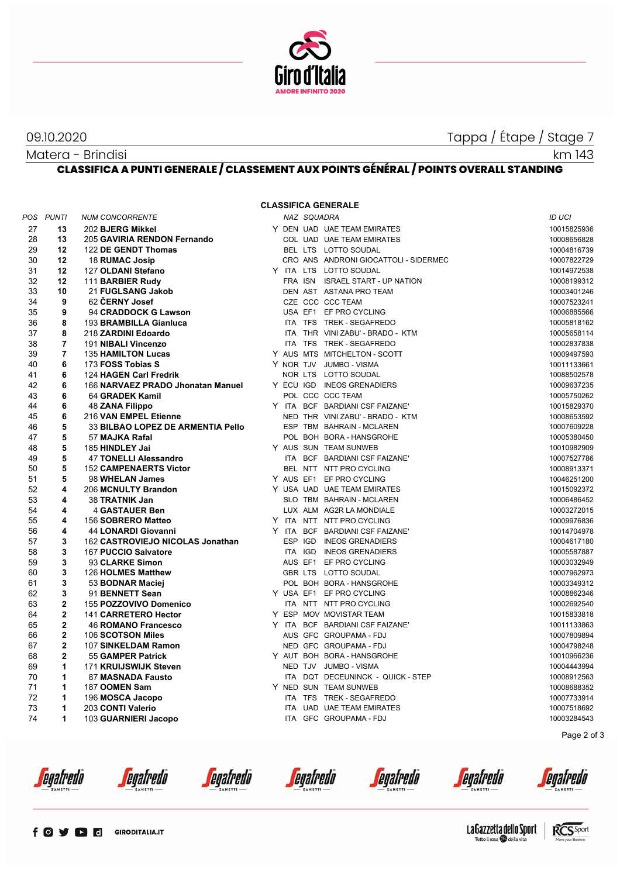

09.10.2020 Tappa / Étape / Stage 7

km 143

Matera - Brindisi **CLASSIFICA A PUNTI GENERALE / CLASSEMENT AUX POINTS GÉNÉRAL / POINTS OVERALL STANDING**

## **CLASSIFICA GENERALE**

| POS      | <b>PUNTI</b>                  | <b>NUM CONCORRENTE</b>                    | NAZ SQUADRA |                                                       | ID UCI                     |
|----------|-------------------------------|-------------------------------------------|-------------|-------------------------------------------------------|----------------------------|
| 27       | 13                            | 202 BJERG Mikkel                          |             | Y DEN UAD UAE TEAM EMIRATES                           | 10015825936                |
| 28       | 13                            | 205 GAVIRIA RENDON Fernando               |             | COL UAD UAE TEAM EMIRATES                             | 10008656828                |
| 29       | 12                            | 122 DE GENDT Thomas                       |             | BEL LTS LOTTO SOUDAL                                  | 10004816739                |
| 30       | 12                            | 18 RUMAC Josip                            |             | CRO ANS ANDRONI GIOCATTOLI - SIDERMEC                 | 10007822729                |
| 31       | 12                            | 127 OLDANI Stefano                        |             | Y ITA LTS LOTTO SOUDAL                                | 10014972538                |
| 32       | 12                            | 111 BARBIER Rudy                          |             | FRA ISN ISRAEL START - UP NATION                      | 10008199312                |
| 33       | 10                            | 21 FUGLSANG Jakob                         |             | DEN AST ASTANA PRO TEAM                               | 10003401246                |
| 34       | 9                             | 62 ČERNY Josef                            |             | CZE CCC CCC TEAM                                      | 10007523241                |
| 35       | 9                             | 94 CRADDOCK G Lawson                      |             | USA EF1 EF PRO CYCLING                                | 10006885566                |
| 36       | 8                             | 193 BRAMBILLA Gianluca                    |             | ITA TFS TREK - SEGAFREDO                              | 10005818162                |
| 37       | 8                             | 218 ZARDINI Edoardo                       |             | ITA THR VINI ZABU' - BRADO - KTM                      | 10005658114                |
| 38       | $\overline{7}$                | 191 NIBALI Vincenzo                       |             | ITA TFS TREK - SEGAFREDO                              | 10002837838                |
| 39       | $\overline{7}$                | <b>135 HAMILTON Lucas</b>                 |             | Y AUS MTS MITCHELTON - SCOTT                          | 10009497593                |
| 40       | 6                             | 173 FOSS Tobias S                         |             | Y NOR TJV JUMBO - VISMA                               | 10011133661                |
| 41       | 6                             | 124 HAGEN Carl Fredrik                    |             | NOR LTS LOTTO SOUDAL                                  | 10088502578                |
| 42       | 6                             | 166 NARVAEZ PRADO Jhonatan Manuel         |             | Y ECU IGD INEOS GRENADIERS                            | 10009637235                |
| 43       | 6                             | 64 GRADEK Kamil                           |             | POL CCC CCC TEAM                                      | 10005750262                |
| 44       | 6                             | <b>48 ZANA Filippo</b>                    |             | Y ITA BCF BARDIANI CSF FAIZANE'                       | 10015829370                |
| 45       | 6                             | 216 VAN EMPEL Etienne                     |             | NED THR VINI ZABU' - BRADO - KTM                      | 10008653592                |
| 46       | 5                             | 33 BILBAO LOPEZ DE ARMENTIA Pello         |             | ESP TBM BAHRAIN - MCLAREN                             | 10007609228                |
| 47       | 5                             | 57 MAJKA Rafal                            |             | POL BOH BORA - HANSGROHE                              | 10005380450                |
| 48       | 5                             | 185 HINDLEY Jai                           |             | Y AUS SUN TEAM SUNWEB                                 | 10010982909                |
| 49       | 5                             | 47 TONELLI Alessandro                     |             | ITA BCF BARDIANI CSF FAIZANE'                         | 10007527786                |
| 50       | 5                             | <b>152 CAMPENAERTS Victor</b>             |             | BEL NTT NTT PRO CYCLING                               | 10008913371                |
| 51       | 5                             | 98 WHELAN James                           |             | Y AUS EF1 EF PRO CYCLING                              | 10046251200                |
| 52       | 4                             | 206 MCNULTY Brandon                       |             | Y USA UAD UAE TEAM EMIRATES                           | 10015092372                |
| 53       | 4                             | 38 TRATNIK Jan                            |             | SLO TBM BAHRAIN - MCLAREN                             | 10006486452                |
| 54       | 4                             | <b>4 GASTAUER Ben</b>                     |             | LUX ALM AG2R LA MONDIALE                              | 10003272015                |
| 55       | 4                             | 156 SOBRERO Matteo                        |             | Y ITA NTT NTT PRO CYCLING                             | 10009976836                |
| 56       | 4                             | <b>44 LONARDI Giovanni</b>                |             | Y ITA BCF BARDIANI CSF FAIZANE'                       | 10014704978                |
| 57       | 3                             | 162 CASTROVIEJO NICOLAS Jonathan          | ESP IGD     | <b>INEOS GRENADIERS</b>                               | 10004617180                |
| 58       | 3                             | 167 PUCCIO Salvatore                      | ITA IGD     | <b>INEOS GRENADIERS</b>                               | 10005587887                |
| 59       | 3                             | 93 CLARKE Simon                           |             | AUS EF1 EF PRO CYCLING                                | 10003032949                |
| 60       | 3                             | 126 HOLMES Matthew                        |             | GBR LTS LOTTO SOUDAL                                  | 10007962973                |
| 61       | 3                             | 53 BODNAR Maciej                          |             | POL BOH BORA - HANSGROHE                              | 10003349312                |
| 62       | 3                             | 91 BENNETT Sean                           |             | Y USA EF1 EF PRO CYCLING                              | 10008862346                |
| 63       | $\mathbf{2}$                  | 155 POZZOVIVO Domenico                    |             | ITA NTT NTT PRO CYCLING                               | 10002692540                |
| 64       | $\mathbf{2}$                  | 141 CARRETERO Hector                      |             | Y ESP MOV MOVISTAR TEAM                               | 10015833818                |
| 65       | $\overline{2}$                | <b>46 ROMANO Francesco</b>                |             | Y ITA BCF BARDIANI CSF FAIZANE'                       | 10011133863                |
| 66<br>67 | $\mathbf 2$<br>$\overline{2}$ | 106 SCOTSON Miles                         |             | AUS GFC GROUPAMA - FDJ<br>NED GFC GROUPAMA - FDJ      | 10007809894                |
| 68       | $\mathbf{2}$                  | 107 SINKELDAM Ramon<br>55 GAMPER Patrick  |             | Y AUT BOH BORA - HANSGROHE                            | 10004798248                |
| 69       | $\mathbf{1}$                  | 171 KRUIJSWIJK Steven                     |             | NED TJV JUMBO - VISMA                                 | 10010966236                |
| 70       | $\mathbf{1}$                  | 87 MASNADA Fausto                         |             | ITA DOT DECEUNINCK - QUICK - STEP                     | 10004443994                |
| 71       | 1                             |                                           |             |                                                       | 10008912563                |
| 72       | $\mathbf{1}$                  | 187 OOMEN Sam                             |             | Y NED SUN TEAM SUNWEB                                 | 10008688352                |
| 73       | $\mathbf{1}$                  | 196 MOSCA Jacopo                          |             | ITA TFS TREK - SEGAFREDO<br>ITA UAD UAE TEAM EMIRATES | 10007733914                |
| 74       | 1                             | 203 CONTI Valerio<br>103 GUARNIERI Jacopo | <b>ITA</b>  | GFC GROUPAMA - FDJ                                    | 10007518692<br>10003284543 |
|          |                               |                                           |             |                                                       |                            |
|          |                               |                                           |             |                                                       | Page 2 of 3                |

*<u>egafredo</u>* 

*<u>egafredò</u>* 

*<u>egafredò</u>* 

*<u>Cegafredo</u>* 

*<u>egafredò</u>* 

*<u>egafredo</u>*